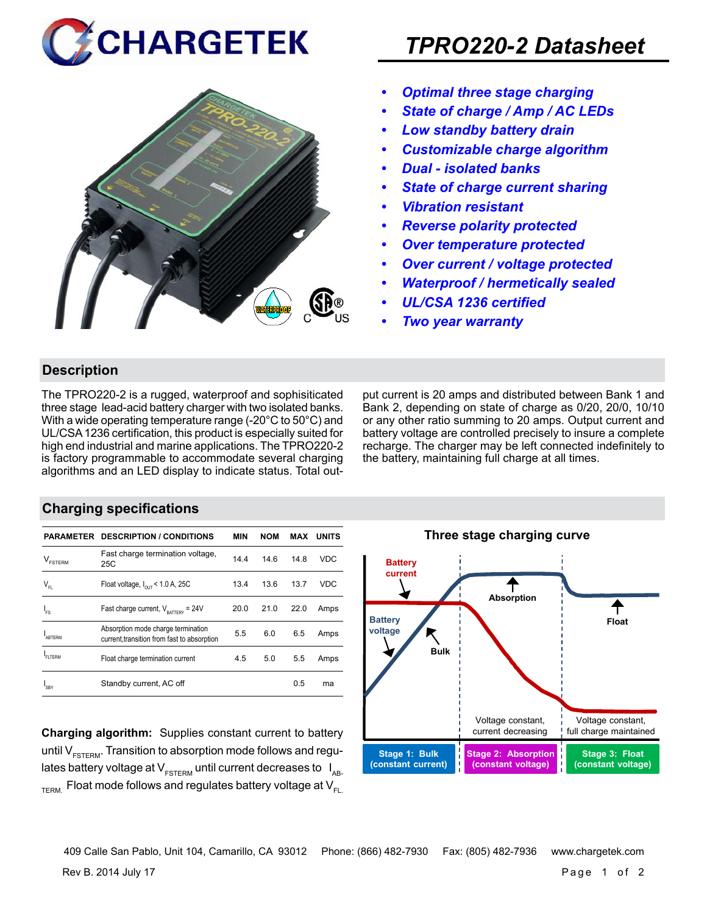



## *TPRO220-2 Datasheet*

- *• Optimal three stage charging*
- *• State of charge / Amp / AC LEDs*
- *• Low standby battery drain*
- *• Customizable charge algorithm*
- *• Dual isolated banks*
- *• State of charge current sharing*
- *• Vibration resistant*
- *• Reverse polarity protected*
- *• Over temperature protected*
- *• Over current / voltage protected*
- *• Waterproof / hermetically sealed*
- *• UL/CSA 1236 certified*
- *• Two year warranty*

#### **Description**

The TPRO220-2 is a rugged, waterproof and sophisiticated three stage lead-acid battery charger with two isolated banks. With a wide operating temperature range (-20°C to 50°C) and UL/CSA 1236 certification, this product is especially suited for high end industrial and marine applications. The TPRO220-2 is factory programmable to accommodate several charging algorithms and an LED display to indicate status. Total output current is 20 amps and distributed between Bank 1 and Bank 2, depending on state of charge as 0/20, 20/0, 10/10 or any other ratio summing to 20 amps. Output current and battery voltage are controlled precisely to insure a complete recharge. The charger may be left connected indefinitely to the battery, maintaining full charge at all times.

#### **Charging specifications**

|                    | <b>PARAMETER DESCRIPTION / CONDITIONS</b>                                         | <b>MIN</b> | <b>NOM</b> | MAX  | <b>UNITS</b> |
|--------------------|-----------------------------------------------------------------------------------|------------|------------|------|--------------|
| v<br><b>ESTERM</b> | Fast charge termination voltage,<br>25C                                           | 14.4       | 14.6       | 14.8 | <b>VDC</b>   |
| $V_{FL}$           | Float voltage, $I_{\text{out}}$ < 1.0 A, 25C                                      | 13.4       | 13.6       | 13.7 | <b>VDC</b>   |
| 'FS                | Fast charge current, $V_{\text{rattney}} = 24V$                                   | 20.0       | 21.0       | 22.0 | Amps         |
| <b>ARTERM</b>      | Absorption mode charge termination<br>current, transition from fast to absorption | 5.5        | 6.0        | 6.5  | Amps         |
| FI TFRM            | Float charge termination current                                                  | 4.5        | 5.0        | 5.5  | Amps         |
| SBY                | Standby current, AC off                                                           |            |            | 0.5  | ma           |

**Charging algorithm:** Supplies constant current to battery until  $V_{ESTFRM}$ . Transition to absorption mode follows and regulates battery voltage at  $V_{ESTERM}$  until current decreases to  $I_{AR}$  $T_{\text{ERM}}$  Float mode follows and regulates battery voltage at  $V_{\text{F1}}$ 



409 Calle San Pablo, Unit 104, Camarillo, CA 93012 Phone: (866) 482-7930 Fax: (805) 482-7936 www.chargetek.com

Rev B. 2014 July 17 Page 1 of 2